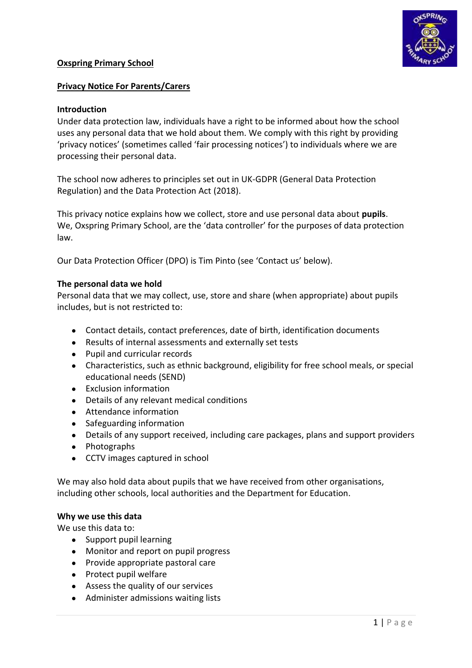### **Oxspring Primary School**



### **Privacy Notice For Parents/Carers**

#### **Introduction**

Under data protection law, individuals have a right to be informed about how the school uses any personal data that we hold about them. We comply with this right by providing 'privacy notices' (sometimes called 'fair processing notices') to individuals where we are processing their personal data.

The school now adheres to principles set out in UK-GDPR (General Data Protection Regulation) and the Data Protection Act (2018).

This privacy notice explains how we collect, store and use personal data about **pupils**. We, Oxspring Primary School, are the 'data controller' for the purposes of data protection law.

Our Data Protection Officer (DPO) is Tim Pinto (see 'Contact us' below).

#### **The personal data we hold**

Personal data that we may collect, use, store and share (when appropriate) about pupils includes, but is not restricted to:

- Contact details, contact preferences, date of birth, identification documents
- Results of internal assessments and externally set tests
- Pupil and curricular records
- Characteristics, such as ethnic background, eligibility for free school meals, or special educational needs (SEND)
- Exclusion information
- Details of any relevant medical conditions
- Attendance information
- Safeguarding information
- Details of any support received, including care packages, plans and support providers
- Photographs
- CCTV images captured in school

We may also hold data about pupils that we have received from other organisations, including other schools, local authorities and the Department for Education.

#### **Why we use this data**

We use this data to:

- Support pupil learning
- Monitor and report on pupil progress
- Provide appropriate pastoral care
- Protect pupil welfare
- Assess the quality of our services
- Administer admissions waiting lists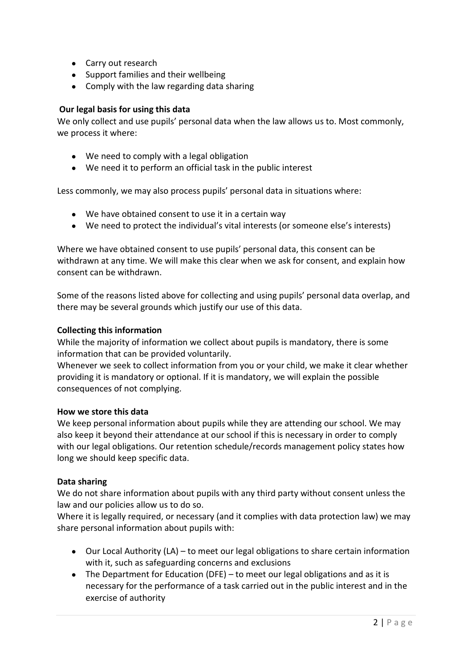- Carry out research
- Support families and their wellbeing
- Comply with the law regarding data sharing

### **Our legal basis for using this data**

We only collect and use pupils' personal data when the law allows us to. Most commonly, we process it where:

- We need to comply with a legal obligation
- We need it to perform an official task in the public interest

Less commonly, we may also process pupils' personal data in situations where:

- We have obtained consent to use it in a certain way
- We need to protect the individual's vital interests (or someone else's interests)

Where we have obtained consent to use pupils' personal data, this consent can be withdrawn at any time. We will make this clear when we ask for consent, and explain how consent can be withdrawn.

Some of the reasons listed above for collecting and using pupils' personal data overlap, and there may be several grounds which justify our use of this data.

### **Collecting this information**

While the majority of information we collect about pupils is mandatory, there is some information that can be provided voluntarily.

Whenever we seek to collect information from you or your child, we make it clear whether providing it is mandatory or optional. If it is mandatory, we will explain the possible consequences of not complying.

#### **How we store this data**

We keep personal information about pupils while they are attending our school. We may also keep it beyond their attendance at our school if this is necessary in order to comply with our legal obligations. Our retention schedule/records management policy states how long we should keep specific data.

#### **Data sharing**

We do not share information about pupils with any third party without consent unless the law and our policies allow us to do so.

Where it is legally required, or necessary (and it complies with data protection law) we may share personal information about pupils with:

- Our Local Authority (LA) to meet our legal obligations to share certain information with it, such as safeguarding concerns and exclusions
- The Department for Education (DFE) to meet our legal obligations and as it is necessary for the performance of a task carried out in the public interest and in the exercise of authority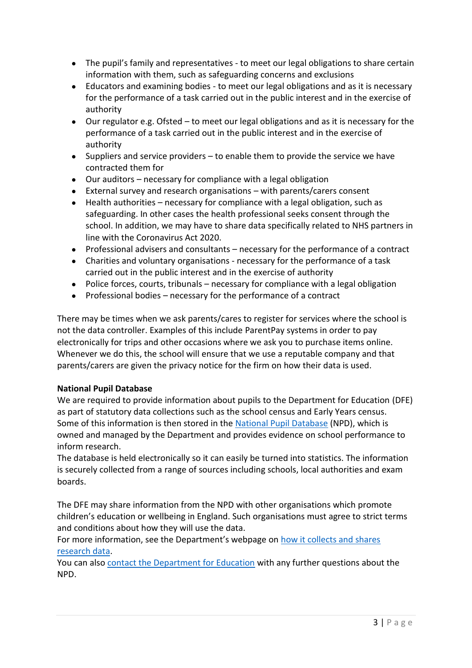- The pupil's family and representatives to meet our legal obligations to share certain information with them, such as safeguarding concerns and exclusions
- Educators and examining bodies to meet our legal obligations and as it is necessary for the performance of a task carried out in the public interest and in the exercise of authority
- Our regulator e.g. Ofsted to meet our legal obligations and as it is necessary for the performance of a task carried out in the public interest and in the exercise of authority
- Suppliers and service providers to enable them to provide the service we have contracted them for
- Our auditors necessary for compliance with a legal obligation
- External survey and research organisations with parents/carers consent
- Health authorities necessary for compliance with a legal obligation, such as safeguarding. In other cases the health professional seeks consent through the school. In addition, we may have to share data specifically related to NHS partners in line with the Coronavirus Act 2020.
- Professional advisers and consultants necessary for the performance of a contract
- Charities and voluntary organisations necessary for the performance of a task carried out in the public interest and in the exercise of authority
- Police forces, courts, tribunals necessary for compliance with a legal obligation
- $\bullet$  Professional bodies necessary for the performance of a contract

There may be times when we ask parents/cares to register for services where the school is not the data controller. Examples of this include ParentPay systems in order to pay electronically for trips and other occasions where we ask you to purchase items online. Whenever we do this, the school will ensure that we use a reputable company and that parents/carers are given the privacy notice for the firm on how their data is used.

# **National Pupil Database**

We are required to provide information about pupils to the Department for Education (DFE) as part of statutory data collections such as the school census and Early Years census. Some of this information is then stored in the National [Pupil Database](https://www.gov.uk/government/publications/national-pupil-database-user-guide-and-supporting-information) (NPD), which is owned and managed by the Department and provides evidence on school performance to inform research.

The database is held electronically so it can easily be turned into statistics. The information is securely collected from a range of sources including schools, local authorities and exam boards.

The DFE may share information from the NPD with other organisations which promote children's education or wellbeing in England. Such organisations must agree to strict terms and conditions about how they will use the data.

For more information, see the Department's webpage on [how it collects and shares](https://www.gov.uk/data-protection-how-we-collect-and-share-research-data)  [research data.](https://www.gov.uk/data-protection-how-we-collect-and-share-research-data)

You can also [contact the Department for Education](https://www.gov.uk/contact-dfe) with any further questions about the NPD.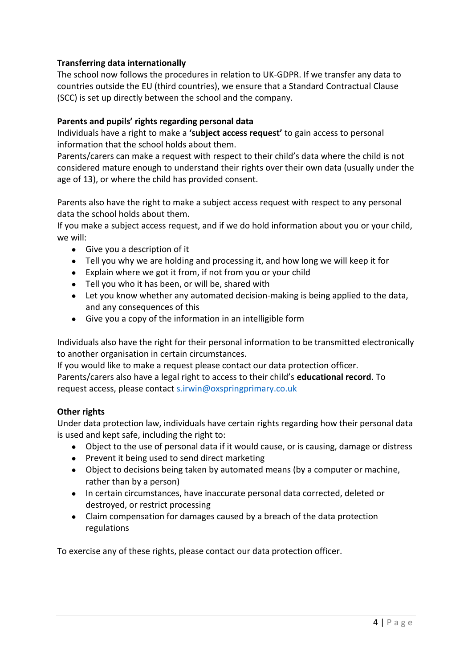## **Transferring data internationally**

The school now follows the procedures in relation to UK-GDPR. If we transfer any data to countries outside the EU (third countries), we ensure that a Standard Contractual Clause (SCC) is set up directly between the school and the company.

### **Parents and pupils' rights regarding personal data**

Individuals have a right to make a **'subject access request'** to gain access to personal information that the school holds about them.

Parents/carers can make a request with respect to their child's data where the child is not considered mature enough to understand their rights over their own data (usually under the age of 13), or where the child has provided consent.

Parents also have the right to make a subject access request with respect to any personal data the school holds about them.

If you make a subject access request, and if we do hold information about you or your child, we will:

- Give you a description of it
- Tell you why we are holding and processing it, and how long we will keep it for
- Explain where we got it from, if not from you or your child
- Tell you who it has been, or will be, shared with
- Let you know whether any automated decision-making is being applied to the data, and any consequences of this
- Give you a copy of the information in an intelligible form

Individuals also have the right for their personal information to be transmitted electronically to another organisation in certain circumstances.

If you would like to make a request please contact our data protection officer. Parents/carers also have a legal right to access to their child's **educational record**. To request access, please contact [s.irwin@oxspringprimary.co.uk](mailto:s.irwin@oxspringprimary.co.uk)

### **Other rights**

Under data protection law, individuals have certain rights regarding how their personal data is used and kept safe, including the right to:

- Object to the use of personal data if it would cause, or is causing, damage or distress
- Prevent it being used to send direct marketing
- Object to decisions being taken by automated means (by a computer or machine, rather than by a person)
- In certain circumstances, have inaccurate personal data corrected, deleted or destroyed, or restrict processing
- Claim compensation for damages caused by a breach of the data protection regulations

To exercise any of these rights, please contact our data protection officer.